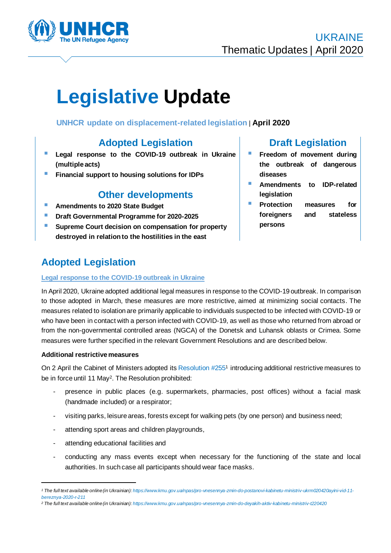

# **Legislative Update**

## **UNHCR update on displacement-related legislation** | **April 2020**

# **Adopted Legislation**

- **Legal response to the COVID-19 outbreak in Ukraine (multiple acts)**
- **EXECUTE:** Financial support to housing solutions for IDPs

# **Other developments**

- **E** Amendments to 2020 State Budget
- **Draft Governmental Programme for 2020-2025**
- Supreme Court decision on compensation for property **destroyed in relation to the hostilities in the east**

# **Adopted Legislation**

#### **Legal response to the COVID-19 outbreak in Ukraine**

## **Draft Legislation Example 1** Freedom of movement during

- **the outbreak of dangerous diseases**
- Amendments to **IDP-related legislation**
- **Protection measures for foreigners and stateless persons**

In April 2020, Ukraine adopted additional legal measures in response to the COVID-19 outbreak. In comparison to those adopted in March, these measures are more restrictive, aimed at minimizing social contacts. The measures related to isolation are primarily applicable to individuals suspected to be infected with COVID-19 or who have been in contact with a person infected with COVID-19, as well as those who returned from abroad or from the non-governmental controlled areas (NGCA) of the Donetsk and Luhansk oblasts or Crimea. Some measures were further specified in the relevant Government Resolutions and are described below.

#### **Additional restrictive measures**

On 2 April the Cabinet of Ministers adopted its Resolution #2551 introducing additional restrictive measures to be in force until 11 May<sup>2</sup>. The Resolution prohibited:

- presence in public places (e.g. supermarkets, pharmacies, post offices) without a facial mask (handmade included) or a respirator;
- visiting parks, leisure areas, forests except for walking pets (by one person) and business need;
- attending sport areas and children playgrounds,
- attending educational facilities and
- conducting any mass events except when necessary for the functioning of the state and local authorities. In such case all participants should wear face masks.

*<sup>1</sup> The full text available online (in Ukrainian): [https://www.kmu.gov.ua/npas/pro-vnesennya-zmin-do-postanovi-kabinetu-ministriv-ukrm020420ayini-vid-11](https://www.kmu.gov.ua/npas/pro-vnesennya-zmin-do-postanovi-kabinetu-ministriv-ukrm020420ayini-vid-11-bereznya-2020-r-211) [bereznya-2020-r-211](https://www.kmu.gov.ua/npas/pro-vnesennya-zmin-do-postanovi-kabinetu-ministriv-ukrm020420ayini-vid-11-bereznya-2020-r-211)*

*<sup>2</sup> The full text available online (in Ukrainian): <https://www.kmu.gov.ua/npas/pro-vnesennya-zmin-do-deyakih-aktiv-kabinetu-ministriv-t220420>*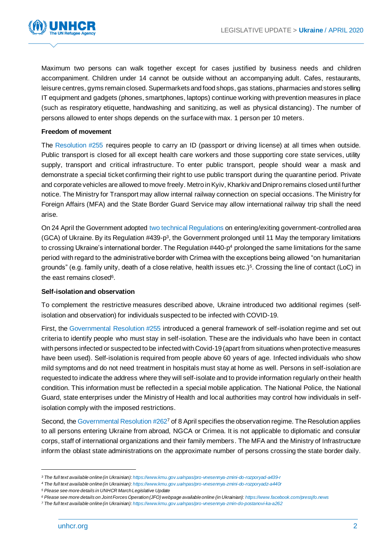

Maximum two persons can walk together except for cases justified by business needs and children accompaniment. Children under 14 cannot be outside without an accompanying adult. Cafes, restaurants, leisure centres, gyms remain closed. Supermarkets and food shops, gas stations, pharmacies and stores selling IT equipment and gadgets (phones, smartphones, laptops) continue working with prevention measures in place (such as respiratory etiquette, handwashing and sanitizing, as well as physical distancing). The number of persons allowed to enter shops depends on the surface with max. 1 person per 10 meters.

#### **Freedom of movement**

The Resolution #255 requires people to carry an ID (passport or driving license) at all times when outside. Public transport is closed for all except health care workers and those supporting core state services, utility supply, transport and critical infrastructure. To enter public transport, people should wear a mask and demonstrate a special ticket confirming their right to use public transport during the quarantine period. Private and corporate vehicles are allowed to move freely. Metro in Kyiv, Kharkiv and Dnipro remains closed until further notice. The Ministry for Transport may allow internal railway connection on special occasions. The Ministry for Foreign Affairs (MFA) and the State Border Guard Service may allow international railway trip shall the need arise.

On 24 April the Government adopted two technical Regulations on entering/exiting government-controlled area (GCA) of Ukraine. By its Regulation #439-p<sup>3</sup>, the Government prolonged until 11 May the temporary limitations to crossing Ukraine's international border. The Regulation #440-p<sup>4</sup> prolonged the same limitations for the same period with regard to the administrative border with Crimea with the exceptions being allowed "on humanitarian grounds" (e.g. family unity, death of a close relative, health issues etc.)<sup>5</sup> . Crossing the line of contact (LoC) in the east remains closed<sup>6</sup>.

#### **Self-isolation and observation**

To complement the restrictive measures described above, Ukraine introduced two additional regimes (selfisolation and observation) for individuals suspected to be infected with COVID-19.

First, the Governmental Resolution #255 introduced a general framework of self-isolation regime and set out criteria to identify people who must stay in self-isolation. These are the individuals who have been in contact with persons infected or suspected to be infected with Covid-19 (apart from situations when protective measures have been used). Self-isolation is required from people above 60 years of age. Infected individuals who show mild symptoms and do not need treatment in hospitals must stay at home as well. Persons in self-isolation are requested to indicate the address where they will self-isolate and to provide information regularly on their health condition. This information must be reflected in a special mobile application. The National Police, the National Guard, state enterprises under the Ministry of Health and local authorities may control how individuals in selfisolation comply with the imposed restrictions.

Second, the Governmental Resolution #2627 of 8 April specifies the observation regime. The Resolution applies to all persons entering Ukraine from abroad, NGCA or Crimea. It is not applicable to diplomatic and consular corps, staff of international organizations and their family members. The MFA and the Ministry of Infrastructure inform the oblast state administrations on the approximate number of persons crossing the state border daily.

*<sup>3</sup> The full text available online (in Ukrainian): <https://www.kmu.gov.ua/npas/pro-vnesennya-zmini-do-rozporyad-a439-r>*

*<sup>4</sup> The full text available online (in Ukrainian): <https://www.kmu.gov.ua/npas/pro-vnesennya-zmini-do-rozporyadz-a440r>*

*<sup>5</sup> Please see more details in UNHCR March Legislative Update* 

*<sup>6</sup> Please see more details on Joint Forces Operation (JFO) webpage available online (in Ukrainian)[: https://www.facebook.com/pressjfo.news](https://www.facebook.com/pressjfo.news)*

*<sup>7</sup> The full text available online (in Ukrainian[\): https://www.kmu.gov.ua/npas/pro-vnesennya-zmin-do-postanovi-ka-a262](https://www.kmu.gov.ua/npas/pro-vnesennya-zmin-do-postanovi-ka-a262)*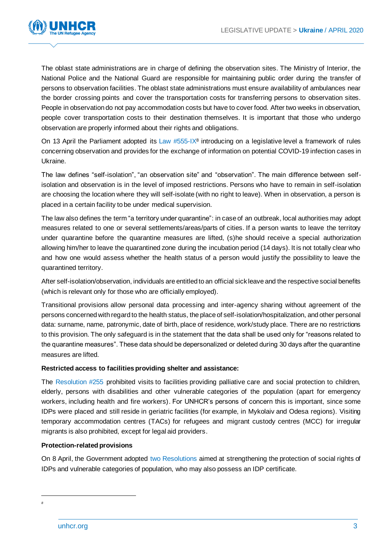

The oblast state administrations are in charge of defining the observation sites. The Ministry of Interior, the National Police and the National Guard are responsible for maintaining public order during the transfer of persons to observation facilities. The oblast state administrations must ensure availability of ambulances near the border crossing points and cover the transportation costs for transferring persons to observation sites. People in observation do not pay accommodation costs but have to cover food. After two weeks in observation, people cover transportation costs to their destination themselves. It is important that those who undergo observation are properly informed about their rights and obligations.

On 13 April the Parliament adopted its Law #555-IX<sup>8</sup> introducing on a legislative level a framework of rules concerning observation and provides for the exchange of information on potential COVID-19 infection cases in Ukraine.

The law defines "self-isolation", "an observation site" and "observation". The main difference between selfisolation and observation is in the level of imposed restrictions. Persons who have to remain in self-isolation are choosing the location where they will self-isolate (with no right to leave). When in observation, a person is placed in a certain facility to be under medical supervision.

The law also defines the term "a territory under quarantine": in case of an outbreak, local authorities may adopt measures related to one or several settlements/areas/parts of cities. If a person wants to leave the territory under quarantine before the quarantine measures are lifted, (s)he should receive a special authorization allowing him/her to leave the quarantined zone during the incubation period (14 days). It is not totally clear who and how one would assess whether the health status of a person would justify the possibility to leave the quarantined territory.

After self-isolation/observation, individuals are entitled to an official sick leave and the respective social benefits (which is relevant only for those who are officially employed).

Transitional provisions allow personal data processing and inter-agency sharing without agreement of the persons concerned with regard to the health status, the place of self-isolation/hospitalization, and other personal data: surname, name, patronymic, date of birth, place of residence, work/study place. There are no restrictions to this provision. The only safeguard is in the statement that the data shall be used only for "reasons related to the quarantine measures". These data should be depersonalized or deleted during 30 days after the quarantine measures are lifted.

#### **Restricted access to facilities providing shelter and assistance:**

The Resolution #255 prohibited visits to facilities providing palliative care and social protection to children, elderly, persons with disabilities and other vulnerable categories of the population (apart for emergency workers, including health and fire workers). For UNHCR's persons of concern this is important, since some IDPs were placed and still reside in geriatric facilities (for example, in Mykolaiv and Odesa regions). Visiting temporary accommodation centres (TACs) for refugees and migrant custody centres (MCC) for irregular migrants is also prohibited, except for legal aid providers.

#### **Protection-related provisions**

On 8 April, the Government adopted two Resolutions aimed at strengthening the protection of social rights of IDPs and vulnerable categories of population, who may also possess an IDP certificate.

*<sup>8</sup>*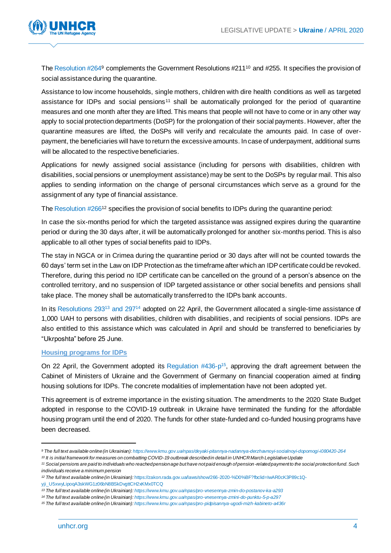

The Resolution #2649 complements the Government Resolutions #211<sup>10</sup> and #255. It specifies the provision of social assistance during the quarantine.

Assistance to low income households, single mothers, children with dire health conditions as well as targeted assistance for IDPs and social pensions<sup>11</sup> shall be automatically prolonged for the period of quarantine measures and one month after they are lifted. This means that people will not have to come or in any other way apply to social protection departments (DoSP) for the prolongation of their social payments. However, after the quarantine measures are lifted, the DoSPs will verify and recalculate the amounts paid. In case of overpayment, the beneficiaries will have to return the excessive amounts. In case of underpayment, additional sums will be allocated to the respective beneficiaries.

Applications for newly assigned social assistance (including for persons with disabilities, children with disabilities, social pensions or unemployment assistance) may be sent to the DoSPs by regular mail. This also applies to sending information on the change of personal circumstances which serve as a ground for the assignment of any type of financial assistance.

The Resolution #266<sup>12</sup> specifies the provision of social benefits to IDPs during the quarantine period:

In case the six-months period for which the targeted assistance was assigned expires during the quarantine period or during the 30 days after, it will be automatically prolonged for another six-months period. This is also applicable to all other types of social benefits paid to IDPs.

The stay in NGCA or in Crimea during the quarantine period or 30 days after will not be counted towards the 60 days' term set in the Law on IDP Protection as the timeframe after which an IDP certificate could be revoked. Therefore, during this period no IDP certificate can be cancelled on the ground of a person's absence on the controlled territory, and no suspension of IDP targeted assistance or other social benefits and pensions shall take place. The money shall be automatically transferred to the IDPs bank accounts.

In its Resolutions 293<sup>13</sup> and 297<sup>14</sup> adopted on 22 April, the Government allocated a single-time assistance of 1,000 UAH to persons with disabilities, children with disabilities, and recipients of social pensions. IDPs are also entitled to this assistance which was calculated in April and should be transferred to beneficiaries by "Ukrposhta" before 25 June.

#### **Housing programs for IDPs**

On 22 April, the Government adopted its Regulation #436-p<sup>15</sup>, approving the draft agreement between the Cabinet of Ministers of Ukraine and the Government of Germany on financial cooperation aimed at finding housing solutions for IDPs. The concrete modalities of implementation have not been adopted yet.

This agreement is of extreme importance in the existing situation. The amendments to the 2020 State Budget adopted in response to the COVID-19 outbreak in Ukraine have terminated the funding for the affordable housing program until the end of 2020. The funds for other state-funded and co-funded housing programs have been decreased.

*<sup>9</sup> The full text available online (in Ukrainian[\): https://www.kmu.gov.ua/npas/deyaki-pitannya-nadannya-derzhavnoyi-socialnoyi-dopomogi-i080420-264](https://www.kmu.gov.ua/npas/deyaki-pitannya-nadannya-derzhavnoyi-socialnoyi-dopomogi-i080420-264) <sup>10</sup> It is initial framework for measures on combatting COVID-19 outbreak described in detail in UNHCR March Legislative Update* 

*<sup>11</sup> Social pensions are paid to individuals who reached pension age but have not paid enough of pension-related payment to the social protection fund. Such* 

*individuals receive a minimum pension*

*<sup>12</sup> The full text available online (in Ukrainian):* [https://zakon.rada.gov.ua/laws/show/266-2020-%D0%BF?fbclid=IwAR0cK3P89c1Q](https://zakon.rada.gov.ua/laws/show/266-2020-%D0%BF?fbclid=IwAR0cK3P89c1Q-yji_U5xwyLipoqA3skWG1z06bN8BSkDvgttCH2xKMx0TCQ)[yji\\_U5xwyLipoqA3skWG1z06bN8BSkDvgttCH2xKMx0TCQ](https://zakon.rada.gov.ua/laws/show/266-2020-%D0%BF?fbclid=IwAR0cK3P89c1Q-yji_U5xwyLipoqA3skWG1z06bN8BSkDvgttCH2xKMx0TCQ)

*<sup>13</sup> The full text available online (in Ukrainian): <https://www.kmu.gov.ua/npas/pro-vnesennya-zmin-do-postanov-ka-a293>*

*<sup>14</sup> The full text available online (in Ukrainian): <https://www.kmu.gov.ua/npas/pro-vnesennya-zmini-do-punktu-5-p-a297>*

*<sup>15</sup> The full text available online (in Ukrainian): <https://www.kmu.gov.ua/npas/pro-pidpisannya-ugodi-mizh-kabineto-a436r>*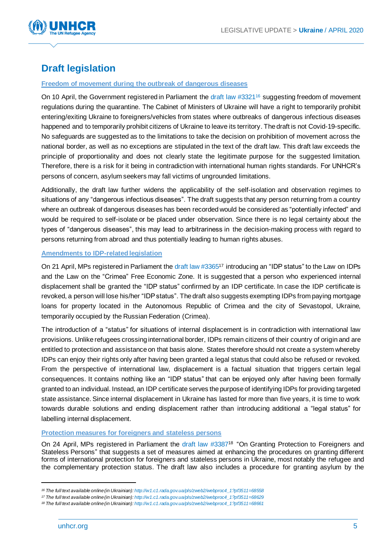

# **Draft legislation**

#### **Freedom of movement during the outbreak of dangerous diseases**

On 10 April, the Government registered in Parliament the draft law #3321<sup>16</sup> suggesting freedom of movement regulations during the quarantine. The Cabinet of Ministers of Ukraine will have a right to temporarily prohibit entering/exiting Ukraine to foreigners/vehicles from states where outbreaks of dangerous infectious diseases happened and to temporarily prohibit citizens of Ukraine to leave its territory. The draft is not Covid-19-specific. No safeguards are suggested as to the limitations to take the decision on prohibition of movement across the national border, as well as no exceptions are stipulated in the text of the draft law. This draft law exceeds the principle of proportionality and does not clearly state the legitimate purpose for the suggested limitation. Therefore, there is a risk for it being in contradiction with international human rights standards. For UNHCR's persons of concern, asylum seekers may fall victims of ungrounded limitations.

Additionally, the draft law further widens the applicability of the self-isolation and observation regimes to situations of any "dangerous infectious diseases". The draft suggests that any person returning from a country where an outbreak of dangerous diseases has been recorded would be considered as "potentially infected" and would be required to self-isolate or be placed under observation. Since there is no legal certainty about the types of "dangerous diseases", this may lead to arbitrariness in the decision-making process with regard to persons returning from abroad and thus potentially leading to human rights abuses.

#### **Amendments to IDP-related legislation**

On 21 April, MPs registered in Parliament the draft law #3365<sup>17</sup> introducing an "IDP status" to the Law on IDPs and the Law on the "Crimea" Free Economic Zone. It is suggested that a person who experienced internal displacement shall be granted the "IDP status" confirmed by an IDP certificate. In case the IDP certificate is revoked, a person will lose his/her "IDP status". The draft also suggests exempting IDPs from paying mortgage loans for property located in the Autonomous Republic of Crimea and the city of Sevastopol, Ukraine, temporarily occupied by the Russian Federation (Crimea).

The introduction of a "status" for situations of internal displacement is in contradiction with international law provisions. Unlike refugees crossing international border, IDPs remain citizens of their country of origin and are entitled to protection and assistance on that basis alone. States therefore should not create a system whereby IDPs can enjoy their rights only after having been granted a legal status that could also be refused or revoked. From the perspective of international law, displacement is a factual situation that triggers certain legal consequences. It contains nothing like an "IDP status" that can be enjoyed only after having been formally granted to an individual. Instead, an IDP certificate serves the purpose of identifying IDPs for providing targeted state assistance. Since internal displacement in Ukraine has lasted for more than five years, it is time to work towards durable solutions and ending displacement rather than introducing additional a "legal status" for labelling internal displacement.

#### **Protection measures for foreigners and stateless persons**

On 24 April, MPs registered in Parliament the draft law #3387<sup>18</sup> "On Granting Protection to Foreigners and Stateless Persons" that suggests a set of measures aimed at enhancing the procedures on granting different forms of international protection for foreigners and stateless persons in Ukraine, most notably the refugee and the complementary protection status. The draft law also includes a procedure for granting asylum by the

*<sup>16</sup> The full text available online (in Ukrainian)[: http://w1.c1.rada.gov.ua/pls/zweb2/webproc4\\_1?pf3511=68558](http://w1.c1.rada.gov.ua/pls/zweb2/webproc4_1?pf3511=68558)*

*<sup>17</sup> The full text available online (in Ukrainian)[: http://w1.c1.rada.gov.ua/pls/zweb2/webproc4\\_1?pf3511=68629](http://w1.c1.rada.gov.ua/pls/zweb2/webproc4_1?pf3511=68629)*

*<sup>18</sup> The full text available online (in Ukrainian)[: http://w1.c1.rada.gov.ua/pls/zweb2/webproc4\\_1?pf3511=68661](http://w1.c1.rada.gov.ua/pls/zweb2/webproc4_1?pf3511=68661)*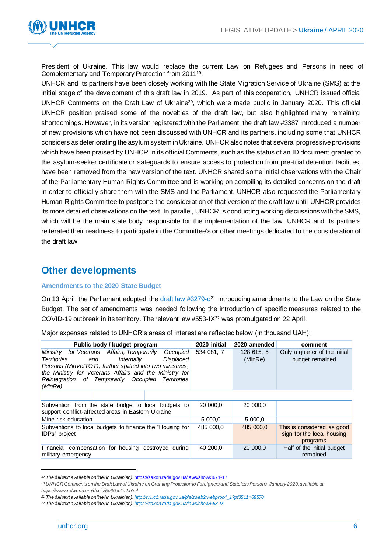

President of Ukraine. This law would replace the current Law on Refugees and Persons in need of Complementary and Temporary Protection from 2011<sup>19</sup> .

UNHCR and its partners have been closely working with the State Migration Service of Ukraine (SMS) at the initial stage of the development of this draft law in 2019. As part of this cooperation, UNHCR issued official UNHCR Comments on the Draft Law of Ukraine<sup>20</sup>, which were made public in January 2020. This official UNHCR position praised some of the novelties of the draft law, but also highlighted many remaining shortcomings. However, in its version registered with the Parliament, the draft law #3387 introduced a number of new provisions which have not been discussed with UNHCR and its partners, including some that UNHCR considers as deteriorating the asylum system in Ukraine. UNHCR also notes that several progressive provisions which have been praised by UNHCR in its official Comments, such as the status of an ID document granted to the asylum-seeker certificate or safeguards to ensure access to protection from pre-trial detention facilities, have been removed from the new version of the text. UNHCR shared some initial observations with the Chair of the Parliamentary Human Rights Committee and is working on compiling its detailed concerns on the draft in order to officially share them with the SMS and the Parliament. UNHCR also requested the Parliamentary Human Rights Committee to postpone the consideration of that version of the draft law until UNHCR provides its more detailed observations on the text. In parallel, UNHCR is conducting working discussions with the SMS, which will be the main state body responsible for the implementation of the law. UNHCR and its partners reiterated their readiness to participate in the Committee's or other meetings dedicated to the consideration of the draft law.

# **Other developments**

#### **Amendments to the 2020 State Budget**

On 13 April, the Parliament adopted the draft law #3279-d<sup>21</sup> introducing amendments to the Law on the State Budget. The set of amendments was needed following the introduction of specific measures related to the COVID-19 outbreak in its territory. The relevant law #553-IX<sup>22</sup> was promulgated on 22 April.

Major expenses related to UNHCR's areas of interest are reflected below (in thousand UAH):

| Public body / budget program                                                                                                                                                                                                                                                                              | 2020 initial | 2020 amended          | comment                                                              |
|-----------------------------------------------------------------------------------------------------------------------------------------------------------------------------------------------------------------------------------------------------------------------------------------------------------|--------------|-----------------------|----------------------------------------------------------------------|
| Ministry for Veterans Affairs, Temporarily<br>Occupied<br>Displaced<br>Territories<br>Internally<br>and<br>Persons (MinVetTOT), further splitted into two ministries,<br>the Ministry for Veterans Affairs and the Ministry for<br>Reintegration of Temporarily Occupied<br><b>Territories</b><br>(MinRe) | 534 081, 7   | 128 615, 5<br>(MinRe) | Only a quarter of the initial<br>budget remained                     |
|                                                                                                                                                                                                                                                                                                           |              |                       |                                                                      |
| Subvention from the state budget to local budgets to<br>support conflict-affected areas in Eastern Ukraine                                                                                                                                                                                                | 20 000,0     | 20 000.0              |                                                                      |
| Mine-risk education                                                                                                                                                                                                                                                                                       | 5 000.0      | 5 000.0               |                                                                      |
| Subventions to local budgets to finance the "Housing for<br><b>IDPs</b> " project                                                                                                                                                                                                                         | 485 000.0    | 485 000.0             | This is considered as good<br>sign for the local housing<br>programs |
| Financial compensation for housing destroyed during<br>military emergency                                                                                                                                                                                                                                 | 40 200,0     | 20 000,0              | Half of the initial budget<br>remained                               |

*<sup>19</sup> The full text available online (in Ukrainian):* <https://zakon.rada.gov.ua/laws/show/3671-17>

*<sup>20</sup> UNHCR Comments on the Draft Law of Ukraine on Granting Protection to Foreigners and Stateless Persons, January 2020, available at: https://www.refworld.org/docid/5e60ec1c4.html*

*<sup>21</sup> The full text available online (in Ukrainian)[: http://w1.c1.rada.gov.ua/pls/zweb2/webproc4\\_1?pf3511=68570](http://w1.c1.rada.gov.ua/pls/zweb2/webproc4_1?pf3511=68570)*

*<sup>22</sup> The full text available online (in Ukrainian)[: https://zakon.rada.gov.ua/laws/show/553-IX](https://zakon.rada.gov.ua/laws/show/553-IX)*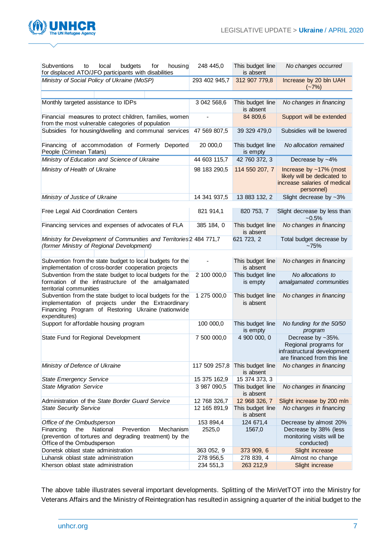

| Subventions<br>local<br>budgets<br>for<br>housing<br>to<br>for displaced ATO/JFO participants with disabilities                                                                        | 248 445,0     | This budget line<br>is absent | No changes occurred                                                                                      |
|----------------------------------------------------------------------------------------------------------------------------------------------------------------------------------------|---------------|-------------------------------|----------------------------------------------------------------------------------------------------------|
| Ministry of Social Policy of Ukraine (MoSP)                                                                                                                                            | 293 402 945,7 | 312 907 779,8                 | Increase by 20 bln UAH<br>$(-7%)$                                                                        |
|                                                                                                                                                                                        |               |                               |                                                                                                          |
| Monthly targeted assistance to IDPs                                                                                                                                                    | 3 042 568,6   | This budget line<br>is absent | No changes in financing                                                                                  |
| Financial measures to protect children, families, women<br>from the most vulnerable categories of population                                                                           |               | 84 809,6                      | Support will be extended                                                                                 |
| Subsidies for housing/dwelling and communal services                                                                                                                                   | 47 569 807,5  | 39 329 479,0                  | Subsidies will be lowered                                                                                |
| Financing of accommodation of Formerly Deported<br>People (Crimean Tatars)                                                                                                             | 20 000,0      | This budget line<br>is empty  | No allocation remained                                                                                   |
| Ministry of Education and Science of Ukraine                                                                                                                                           | 44 603 115,7  | 42 760 372, 3                 | Decrease by $~14\%$                                                                                      |
| Ministry of Health of Ukraine                                                                                                                                                          | 98 183 290,5  | 114 550 207, 7                | Increase by ~17% (most<br>likely will be dedicated to<br>increase salaries of medical<br>personnel)      |
| Ministry of Justice of Ukraine                                                                                                                                                         | 14 341 937,5  | 13 883 132, 2                 | Slight decrease by $~2\%$                                                                                |
| Free Legal Aid Coordination Centers                                                                                                                                                    | 821 914,1     | 820 753, 7                    | Slight decrease by less than<br>$~10.5\%$                                                                |
| Financing services and expenses of advocates of FLA                                                                                                                                    | 385 184, 0    | This budget line<br>is absent | No changes in financing                                                                                  |
| Ministry for Development of Communities and Territories 2 484 771,7<br>(former Ministry of Regional Development)                                                                       |               | 621 723, 2                    | Total budget decrease by<br>~175%                                                                        |
|                                                                                                                                                                                        |               |                               |                                                                                                          |
| Subvention from the state budget to local budgets for the<br>implementation of cross-border cooperation projects                                                                       |               | This budget line<br>is absent | No changes in financing                                                                                  |
| Subvention from the state budget to local budgets for the                                                                                                                              | 2 100 000,0   | This budget line              | No allocations to                                                                                        |
| formation of the infrastructure of the amalgamated<br>territorial communities                                                                                                          |               | is empty                      | amalgamated communities                                                                                  |
| Subvention from the state budget to local budgets for the<br>implementation of projects under the Extraordinary<br>Financing Program of Restoring Ukraine (nationwide<br>expenditures) | 1 275 000,0   | This budget line<br>is absent | No changes in financing                                                                                  |
| Support for affordable housing program                                                                                                                                                 | 100 000,0     | This budget line<br>is empty  | No funding for the 50/50<br>program                                                                      |
| State Fund for Regional Development                                                                                                                                                    | 7 500 000,0   | 4 900 000, 0                  | Decrease by ~35%.<br>Regional programs for<br>infrastructural development<br>are financed from this line |
| Ministry of Defence of Ukraine                                                                                                                                                         | 117 509 257,8 | This budget line<br>is absent | No changes in financing                                                                                  |
| <b>State Emergency Service</b>                                                                                                                                                         | 15 375 162,9  | 15 374 373, 3                 |                                                                                                          |
| <b>State Migration Service</b>                                                                                                                                                         | 3 987 090,5   | This budget line<br>is absent | No changes in financing                                                                                  |
| Administration of the State Border Guard Service                                                                                                                                       | 12 768 326,7  | 12 968 326, 7                 | Slight increase by 200 mln                                                                               |
| <b>State Security Service</b>                                                                                                                                                          | 12 165 891,9  | This budget line<br>is absent | No changes in financing                                                                                  |
| Office of the Ombudsperson                                                                                                                                                             | 153 894,4     | 124 671,4                     | Decrease by almost 20%                                                                                   |
| National<br>Prevention<br>Mechanism<br>Financing<br>the                                                                                                                                | 2525,0        | 1567,0                        | Decrease by 38% (less                                                                                    |
| (prevention of tortures and degrading treatment) by the<br>Office of the Ombudsperson                                                                                                  |               |                               | monitoring visits will be<br>conducted)                                                                  |
| Donetsk oblast state administration                                                                                                                                                    | 363 052, 9    | 373 909, 6                    | Slight increase                                                                                          |
| Luhansk oblast state administration                                                                                                                                                    | 278 956,5     | 278 839, 4                    | Almost no change                                                                                         |
| Kherson oblast state administration                                                                                                                                                    | 234 551,3     | 263 212,9                     | Slight increase                                                                                          |

The above table illustrates several important developments. Splitting of the MinVetTOT into the Ministry for Veterans Affairs and the Ministry of Reintegration has resulted in assigning a quarter of the initial budget to the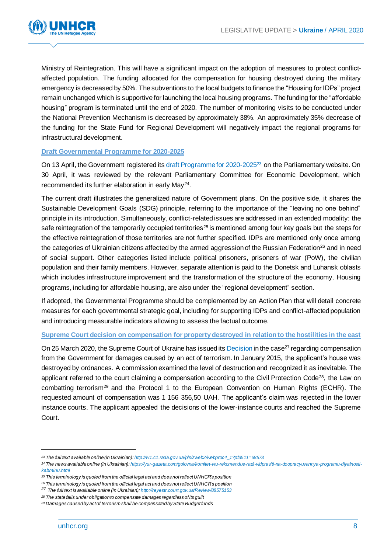

Ministry of Reintegration. This will have a significant impact on the adoption of measures to protect conflictaffected population. The funding allocated for the compensation for housing destroyed during the military emergency is decreased by 50%. The subventions to the local budgets to finance the "Housing for IDPs" project remain unchanged which is supportive for launching the local housing programs. The funding for the "affordable housing" program is terminated until the end of 2020. The number of monitoring visits to be conducted under the National Prevention Mechanism is decreased by approximately 38%. An approximately 35% decrease of the funding for the State Fund for Regional Development will negatively impact the regional programs for infrastructural development.

#### **Draft Governmental Programme for 2020-2025**

On 13 April, the Government registered its draft Programme for 2020-2025<sup>23</sup> on the Parliamentary website. On 30 April, it was reviewed by the relevant Parliamentary Committee for Economic Development, which recommended its further elaboration in early May<sup>24</sup>.

The current draft illustrates the generalized nature of Government plans. On the positive side, it shares the Sustainable Development Goals (SDG) principle, referring to the importance of the "leaving no one behind" principle in its introduction. Simultaneously, conflict-related issues are addressed in an extended modality: the safe reintegration of the temporarily occupied territories<sup>25</sup> is mentioned among four key goals but the steps for the effective reintegration of those territories are not further specified. IDPs are mentioned only once among the categories of Ukrainian citizens affected by the armed aggression of the Russian Federation<sup>26</sup> and in need of social support. Other categories listed include political prisoners, prisoners of war (PoW), the civilian population and their family members. However, separate attention is paid to the Donetsk and Luhansk oblasts which includes infrastructure improvement and the transformation of the structure of the economy. Housing programs, including for affordable housing, are also under the "regional development" section.

If adopted, the Governmental Programme should be complemented by an Action Plan that will detail concrete measures for each governmental strategic goal, including for supporting IDPs and conflict-affected population and introducing measurable indicators allowing to assess the factual outcome.

#### **Supreme Court decision on compensation for property destroyed in relation to the hostilities in the east**

On 25 March 2020, the Supreme Court of Ukraine has issued its Decision in the case<sup>27</sup> regarding compensation from the Government for damages caused by an act of terrorism. In January 2015, the applicant's house was destroyed by ordnances. A commission examined the level of destruction and recognized it as inevitable. The applicant referred to the court claiming a compensation according to the Civil Protection Code<sup>28</sup>, the Law on combatting terrorism<sup>29</sup> and the Protocol 1 to the European Convention on Human Rights (ECHR). The requested amount of compensation was 1 156 356,50 UAH. The applicant's claim was rejected in the lower instance courts. The applicant appealed the decisions of the lower-instance courts and reached the Supreme Court.

*<sup>23</sup> The full text available online (in Ukrainian): [http://w1.c1.rada.gov.ua/pls/zweb2/webproc4\\_1?pf3511=68573](http://w1.c1.rada.gov.ua/pls/zweb2/webproc4_1?pf3511=68573)*

*<sup>24</sup> The news available online (in Ukrainian)[: https://yur-gazeta.com/golovna/komitet-vru-rekomendue-radi-vidpraviti-na-doopracyuvannya-programu-diyalnosti](https://yur-gazeta.com/golovna/komitet-vru-rekomendue-radi-vidpraviti-na-doopracyuvannya-programu-diyalnosti-kabminu.html)[kabminu.html](https://yur-gazeta.com/golovna/komitet-vru-rekomendue-radi-vidpraviti-na-doopracyuvannya-programu-diyalnosti-kabminu.html)*

*<sup>25</sup> This terminology is quoted from the official legal act and does not reflect UNHCR's position* 

*<sup>26</sup> This terminology is quoted from the official legal act and does not reflect UNHCR's position* 

*<sup>27</sup> The full text is available online (in Ukrainian[\): http://reyestr.court.gov.ua/Review/88575153](http://reyestr.court.gov.ua/Review/88575153)*

*<sup>28</sup> The state falls under obligation to compensate damages regardless of its guilt*

*<sup>29</sup> Damages caused by act of terrorism shall be compensated by State Budget funds*